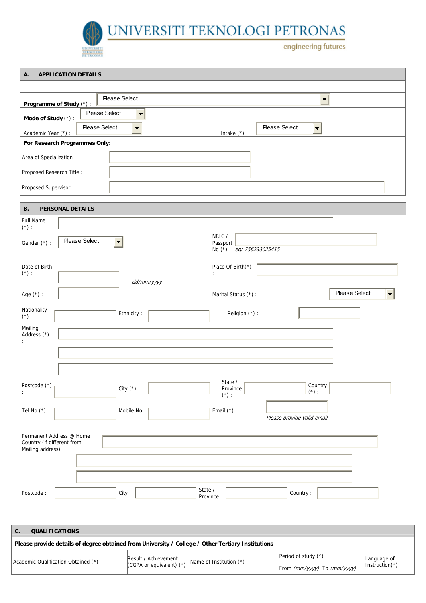

| <b>APPLICATION DETAILS</b><br>А.                                             |                      |                                                                 |                            |               |
|------------------------------------------------------------------------------|----------------------|-----------------------------------------------------------------|----------------------------|---------------|
| Please Select<br>Programme of Study (*) :                                    |                      |                                                                 | $\blacksquare$             |               |
| Please Select<br>Mode of Study (*) :                                         | $\blacksquare$       |                                                                 |                            |               |
| Please Select<br>Academic Year (*) :                                         | $\blacksquare$       | Please Select<br>Intake (*) :                                   | $\overline{\phantom{a}}$   |               |
| For Research Programmes Only:                                                |                      |                                                                 |                            |               |
| Area of Specialization :                                                     |                      |                                                                 |                            |               |
| Proposed Research Title :                                                    |                      |                                                                 |                            |               |
| Proposed Supervisor:                                                         |                      |                                                                 |                            |               |
| <b>PERSONAL DETAILS</b><br><b>B.</b>                                         |                      |                                                                 |                            |               |
| Full Name<br>$(*)$ :                                                         |                      |                                                                 |                            |               |
| Please Select<br>Gender (*) :<br>$\overline{\phantom{a}}$                    |                      | NRIC /<br>Passport<br>No (*) : eg: 756233025415                 |                            |               |
| Date of Birth<br>$(\text{\texttt{*}})$ :                                     | dd/mm/yyyy           | Place Of Birth(*)                                               |                            |               |
| Age (*) :                                                                    |                      | Marital Status (*) :                                            |                            | Please Select |
| Nationality<br>Ethnicity:<br>$(\dot{\phantom{x}})$ :                         |                      | Religion (*) :                                                  |                            |               |
| Mailing<br>Address (*)                                                       |                      |                                                                 |                            |               |
|                                                                              |                      |                                                                 |                            |               |
|                                                                              |                      |                                                                 |                            |               |
| Postcode (*)<br>City $(*)$ :                                                 |                      | State $/ \ \blacksquare$<br>Province<br>$(\text{\texttt{*}})$ : | Country<br>$(\star)$ :     |               |
| Tel No $(*)$ :<br>Mobile No:                                                 |                      | Email $(*)$ :                                                   | Please provide valid email |               |
| Permanent Address @ Home<br>Country (if different from<br>Mailing address) : |                      |                                                                 |                            |               |
|                                                                              |                      |                                                                 |                            |               |
| Postcode:<br>City:                                                           | State /<br>Province: |                                                                 | Country:                   |               |

| <b>QUALIFICATIONS</b>                                                                             |                              |                           |                                 |                          |  |  |
|---------------------------------------------------------------------------------------------------|------------------------------|---------------------------|---------------------------------|--------------------------|--|--|
| Please provide details of degree obtained from University / College / Other Tertiary Institutions |                              |                           |                                 |                          |  |  |
| Academic Qualification Obtained (*)                                                               | Result / Achievement         | Name of Institution $(*)$ | Period of study $(*)$           | Language of              |  |  |
|                                                                                                   | $  (CGPA or equivalent)$ (*) |                           | From $(mm/yyyy)$ To $(mm/yyyy)$ | $\text{Instruction}$ (*) |  |  |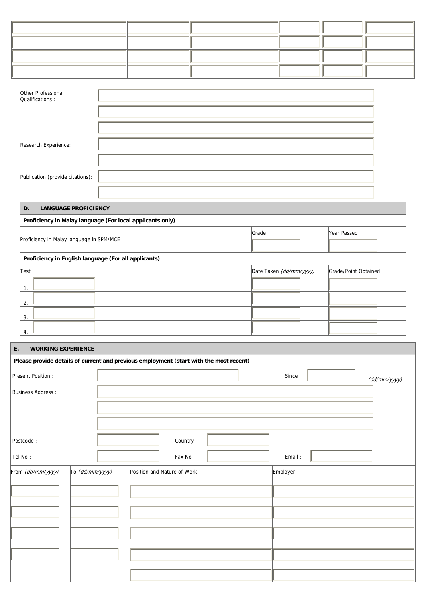| Other Professional<br>Qualifications:                     |  |       |             |  |  |  |
|-----------------------------------------------------------|--|-------|-------------|--|--|--|
| Research Experience:                                      |  |       |             |  |  |  |
| Publication (provide citations):                          |  |       |             |  |  |  |
| D.<br><b>LANGUAGE PROFICIENCY</b>                         |  |       |             |  |  |  |
| Proficiency in Malay language (For local applicants only) |  |       |             |  |  |  |
|                                                           |  | Grade | Year Passed |  |  |  |
| Proficiency in Malay language in SPM/MCE                  |  |       |             |  |  |  |

| Proficiency in English language (For all applicants) |                         |                      |  |  |  |
|------------------------------------------------------|-------------------------|----------------------|--|--|--|
| Test                                                 | Date Taken (dd/mm/yyyy) | Grade/Point Obtained |  |  |  |
|                                                      |                         |                      |  |  |  |
| ົ                                                    |                         |                      |  |  |  |
| 3                                                    |                         |                      |  |  |  |
|                                                      |                         |                      |  |  |  |

| <b>WORKING EXPERIENCE</b><br>E.                                                        |                 |  |  |                             |  |  |          |              |
|----------------------------------------------------------------------------------------|-----------------|--|--|-----------------------------|--|--|----------|--------------|
| Please provide details of current and previous employment (start with the most recent) |                 |  |  |                             |  |  |          |              |
| Present Position :                                                                     |                 |  |  |                             |  |  | Since:   | (dd/mm/yyyy) |
| Business Address:                                                                      |                 |  |  |                             |  |  |          |              |
|                                                                                        |                 |  |  |                             |  |  |          |              |
|                                                                                        |                 |  |  |                             |  |  |          |              |
| Postcode:                                                                              |                 |  |  | Country:                    |  |  |          |              |
| Tel No:                                                                                |                 |  |  | Fax No:                     |  |  | Email:   |              |
| From (dd/mm/yyyy)                                                                      | To (dd/mm/yyyy) |  |  | Position and Nature of Work |  |  | Employer |              |
|                                                                                        |                 |  |  |                             |  |  |          |              |
|                                                                                        |                 |  |  |                             |  |  |          |              |
|                                                                                        |                 |  |  |                             |  |  |          |              |
|                                                                                        |                 |  |  |                             |  |  |          |              |
|                                                                                        |                 |  |  |                             |  |  |          |              |
|                                                                                        |                 |  |  |                             |  |  |          |              |
|                                                                                        |                 |  |  |                             |  |  |          |              |
|                                                                                        |                 |  |  |                             |  |  |          |              |